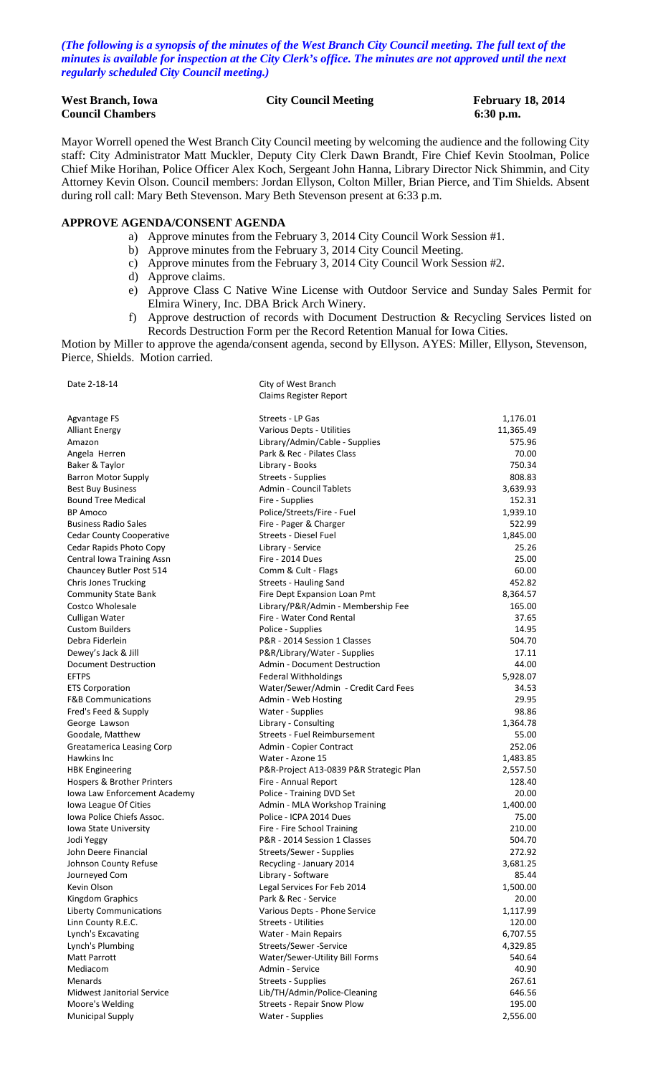*(The following is a synopsis of the minutes of the West Branch City Council meeting. The full text of the minutes is available for inspection at the City Clerk's office. The minutes are not approved until the next regularly scheduled City Council meeting.)*

| <b>West Branch, Iowa</b> | <b>City Council Meeting</b> | <b>February 18, 2014</b> |
|--------------------------|-----------------------------|--------------------------|
| <b>Council Chambers</b>  |                             | $6:30$ p.m.              |

Mayor Worrell opened the West Branch City Council meeting by welcoming the audience and the following City staff: City Administrator Matt Muckler, Deputy City Clerk Dawn Brandt, Fire Chief Kevin Stoolman, Police Chief Mike Horihan, Police Officer Alex Koch, Sergeant John Hanna, Library Director Nick Shimmin, and City Attorney Kevin Olson. Council members: Jordan Ellyson, Colton Miller, Brian Pierce, and Tim Shields. Absent during roll call: Mary Beth Stevenson. Mary Beth Stevenson present at 6:33 p.m.

#### **APPROVE AGENDA/CONSENT AGENDA**

- a) Approve minutes from the February 3, 2014 City Council Work Session #1.
- b) Approve minutes from the February 3, 2014 City Council Meeting.
- c) Approve minutes from the February 3, 2014 City Council Work Session #2.
- d) Approve claims.
- e) Approve Class C Native Wine License with Outdoor Service and Sunday Sales Permit for Elmira Winery, Inc. DBA Brick Arch Winery.
- f) Approve destruction of records with Document Destruction & Recycling Services listed on Records Destruction Form per the Record Retention Manual for Iowa Cities.

Motion by Miller to approve the agenda/consent agenda, second by Ellyson. AYES: Miller, Ellyson, Stevenson, Pierce, Shields. Motion carried.

| Date 2-18-14                      | City of West Branch                     |           |
|-----------------------------------|-----------------------------------------|-----------|
|                                   | Claims Register Report                  |           |
| Agvantage FS                      | Streets - LP Gas                        | 1,176.01  |
| <b>Alliant Energy</b>             | Various Depts - Utilities               | 11,365.49 |
| Amazon                            | Library/Admin/Cable - Supplies          | 575.96    |
| Angela Herren                     | Park & Rec - Pilates Class              | 70.00     |
| Baker & Taylor                    | Library - Books                         | 750.34    |
| <b>Barron Motor Supply</b>        | Streets - Supplies                      | 808.83    |
| <b>Best Buy Business</b>          | Admin - Council Tablets                 | 3,639.93  |
| <b>Bound Tree Medical</b>         | Fire - Supplies                         | 152.31    |
| <b>BP Amoco</b>                   | Police/Streets/Fire - Fuel              | 1,939.10  |
| <b>Business Radio Sales</b>       | Fire - Pager & Charger                  | 522.99    |
| <b>Cedar County Cooperative</b>   | Streets - Diesel Fuel                   | 1,845.00  |
| Cedar Rapids Photo Copy           | Library - Service                       | 25.26     |
| Central Iowa Training Assn        | Fire - 2014 Dues                        | 25.00     |
| Chauncey Butler Post 514          | Comm & Cult - Flags                     | 60.00     |
| <b>Chris Jones Trucking</b>       | Streets - Hauling Sand                  | 452.82    |
| <b>Community State Bank</b>       | Fire Dept Expansion Loan Pmt            | 8,364.57  |
| Costco Wholesale                  | Library/P&R/Admin - Membership Fee      | 165.00    |
| Culligan Water                    | Fire - Water Cond Rental                | 37.65     |
| <b>Custom Builders</b>            | Police - Supplies                       | 14.95     |
| Debra Fiderlein                   | P&R - 2014 Session 1 Classes            | 504.70    |
| Dewey's Jack & Jill               | P&R/Library/Water - Supplies            | 17.11     |
| Document Destruction              | <b>Admin - Document Destruction</b>     | 44.00     |
| <b>EFTPS</b>                      | <b>Federal Withholdings</b>             | 5,928.07  |
| <b>ETS Corporation</b>            | Water/Sewer/Admin - Credit Card Fees    | 34.53     |
| <b>F&amp;B Communications</b>     | Admin - Web Hosting                     | 29.95     |
| Fred's Feed & Supply              | Water - Supplies                        | 98.86     |
| George Lawson                     | Library - Consulting                    | 1,364.78  |
| Goodale, Matthew                  | Streets - Fuel Reimbursement            | 55.00     |
| Greatamerica Leasing Corp         | Admin - Copier Contract                 | 252.06    |
| Hawkins Inc                       | Water - Azone 15                        | 1,483.85  |
| <b>HBK Engineering</b>            | P&R-Project A13-0839 P&R Strategic Plan | 2,557.50  |
| Hospers & Brother Printers        | Fire - Annual Report                    | 128.40    |
| Iowa Law Enforcement Academy      | Police - Training DVD Set               | 20.00     |
| Iowa League Of Cities             | Admin - MLA Workshop Training           | 1,400.00  |
| Iowa Police Chiefs Assoc.         | Police - ICPA 2014 Dues                 | 75.00     |
| <b>Iowa State University</b>      | Fire - Fire School Training             | 210.00    |
| Jodi Yeggy                        | P&R - 2014 Session 1 Classes            | 504.70    |
| John Deere Financial              | Streets/Sewer - Supplies                | 272.92    |
| Johnson County Refuse             | Recycling - January 2014                | 3,681.25  |
| Journeyed Com                     | Library - Software                      | 85.44     |
| Kevin Olson                       | Legal Services For Feb 2014             | 1,500.00  |
| Kingdom Graphics                  | Park & Rec - Service                    | 20.00     |
| <b>Liberty Communications</b>     | Various Depts - Phone Service           | 1,117.99  |
| Linn County R.E.C.                | <b>Streets - Utilities</b>              | 120.00    |
| Lynch's Excavating                | Water - Main Repairs                    | 6,707.55  |
| Lynch's Plumbing                  | Streets/Sewer -Service                  | 4,329.85  |
| <b>Matt Parrott</b>               | Water/Sewer-Utility Bill Forms          | 540.64    |
| Mediacom                          | Admin - Service                         | 40.90     |
| Menards                           | Streets - Supplies                      | 267.61    |
| <b>Midwest Janitorial Service</b> | Lib/TH/Admin/Police-Cleaning            | 646.56    |
| Moore's Welding                   | <b>Streets - Repair Snow Plow</b>       | 195.00    |
| <b>Municipal Supply</b>           | Water - Supplies                        | 2,556.00  |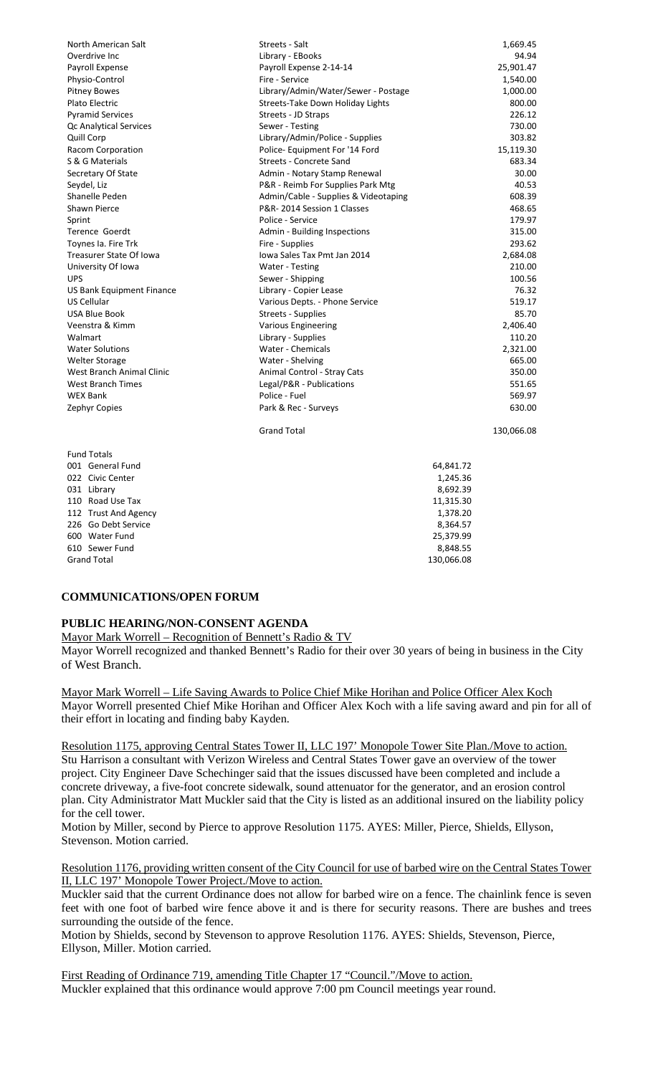| North American Salt       | Streets - Salt                       | 1,669.45   |
|---------------------------|--------------------------------------|------------|
| Overdrive Inc             | Library - EBooks                     | 94.94      |
| Payroll Expense           | Payroll Expense 2-14-14              | 25,901.47  |
| Physio-Control            | Fire - Service                       | 1,540.00   |
| <b>Pitney Bowes</b>       | Library/Admin/Water/Sewer - Postage  | 1,000.00   |
| Plato Electric            | Streets-Take Down Holiday Lights     | 800.00     |
| <b>Pyramid Services</b>   | Streets - JD Straps                  | 226.12     |
| Qc Analytical Services    | Sewer - Testing                      | 730.00     |
| Quill Corp                | Library/Admin/Police - Supplies      | 303.82     |
| Racom Corporation         | Police- Equipment For '14 Ford       | 15,119.30  |
| S & G Materials           | <b>Streets - Concrete Sand</b>       | 683.34     |
| Secretary Of State        | Admin - Notary Stamp Renewal         | 30.00      |
| Seydel, Liz               | P&R - Reimb For Supplies Park Mtg    | 40.53      |
| Shanelle Peden            | Admin/Cable - Supplies & Videotaping | 608.39     |
| <b>Shawn Pierce</b>       | P&R-2014 Session 1 Classes           | 468.65     |
| Sprint                    | Police - Service                     | 179.97     |
| <b>Terence Goerdt</b>     | Admin - Building Inspections         | 315.00     |
| Toynes Ia. Fire Trk       | Fire - Supplies                      | 293.62     |
| Treasurer State Of Iowa   | Iowa Sales Tax Pmt Jan 2014          | 2,684.08   |
| University Of Iowa        | <b>Water - Testing</b>               | 210.00     |
| <b>UPS</b>                | Sewer - Shipping                     | 100.56     |
| US Bank Equipment Finance | Library - Copier Lease               | 76.32      |
| US Cellular               | Various Depts. - Phone Service       | 519.17     |
| <b>USA Blue Book</b>      | Streets - Supplies                   | 85.70      |
| Veenstra & Kimm           | <b>Various Engineering</b>           | 2,406.40   |
| Walmart                   | Library - Supplies                   | 110.20     |
| <b>Water Solutions</b>    | Water - Chemicals                    | 2,321.00   |
| Welter Storage            | Water - Shelving                     | 665.00     |
| West Branch Animal Clinic | Animal Control - Stray Cats          | 350.00     |
| <b>West Branch Times</b>  | Legal/P&R - Publications             | 551.65     |
| <b>WEX Bank</b>           | Police - Fuel                        | 569.97     |
| Zephyr Copies             | Park & Rec - Surveys                 | 630.00     |
|                           | <b>Grand Total</b>                   | 130,066.08 |
| <b>Fund Totals</b>        |                                      |            |
| 001 General Fund          | 64,841.72                            |            |
| 022 Civic Center          | 1,245.36                             |            |
| 031 Library               | 8,692.39                             |            |
| 110 Road Use Tax          | 11,315.30                            |            |
| 112 Trust And Agency      | 1,378.20                             |            |
| 226 Go Debt Service       | 8,364.57                             |            |

#### **COMMUNICATIONS/OPEN FORUM**

**Grand Total** 

#### **PUBLIC HEARING/NON-CONSENT AGENDA**

Mayor Mark Worrell – Recognition of Bennett's Radio & TV

Mayor Worrell recognized and thanked Bennett's Radio for their over 30 years of being in business in the City of West Branch.

600 Water Fund 25,379.99 25,379.99 25,379.99 25,379.99 25,379.99 25,379.99 25,379.99 25,379.99 25,379.99 25,379 610 Sewer Fund 8,848.55

Mayor Mark Worrell – Life Saving Awards to Police Chief Mike Horihan and Police Officer Alex Koch Mayor Worrell presented Chief Mike Horihan and Officer Alex Koch with a life saving award and pin for all of their effort in locating and finding baby Kayden.

Resolution 1175, approving Central States Tower II, LLC 197' Monopole Tower Site Plan./Move to action. Stu Harrison a consultant with Verizon Wireless and Central States Tower gave an overview of the tower project. City Engineer Dave Schechinger said that the issues discussed have been completed and include a concrete driveway, a five-foot concrete sidewalk, sound attenuator for the generator, and an erosion control plan. City Administrator Matt Muckler said that the City is listed as an additional insured on the liability policy for the cell tower.

Motion by Miller, second by Pierce to approve Resolution 1175. AYES: Miller, Pierce, Shields, Ellyson, Stevenson. Motion carried.

Resolution 1176, providing written consent of the City Council for use of barbed wire on the Central States Tower II, LLC 197' Monopole Tower Project./Move to action.

Muckler said that the current Ordinance does not allow for barbed wire on a fence. The chainlink fence is seven feet with one foot of barbed wire fence above it and is there for security reasons. There are bushes and trees surrounding the outside of the fence.

Motion by Shields, second by Stevenson to approve Resolution 1176. AYES: Shields, Stevenson, Pierce, Ellyson, Miller. Motion carried.

First Reading of Ordinance 719, amending Title Chapter 17 "Council."/Move to action. Muckler explained that this ordinance would approve 7:00 pm Council meetings year round.